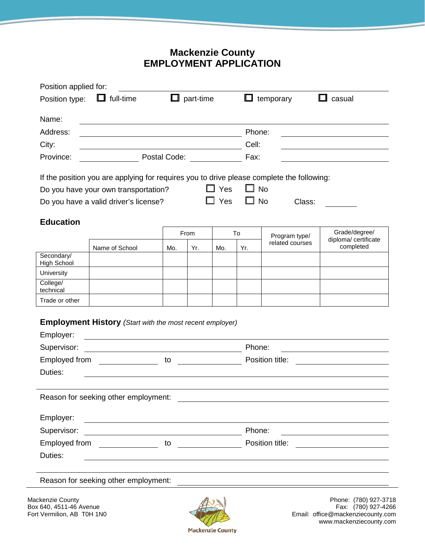## **Mackenzie County EMPLOYMENT APPLICATION**

| Position type:                   | $\Box$ full-time                                                                                                     |      | $\Box$ part-time |                                                                                                                                                                           |              | $\Box$ temporary                                                                                                              | casual                                                  |  |  |
|----------------------------------|----------------------------------------------------------------------------------------------------------------------|------|------------------|---------------------------------------------------------------------------------------------------------------------------------------------------------------------------|--------------|-------------------------------------------------------------------------------------------------------------------------------|---------------------------------------------------------|--|--|
| Name:                            |                                                                                                                      |      |                  |                                                                                                                                                                           |              |                                                                                                                               |                                                         |  |  |
| Address:                         | <u> 1980 - Johann Barn, amerikan personal (</u>                                                                      |      |                  |                                                                                                                                                                           |              | Phone:                                                                                                                        |                                                         |  |  |
| City:                            |                                                                                                                      |      |                  |                                                                                                                                                                           |              | Cell:                                                                                                                         |                                                         |  |  |
| Province:                        | <b>Postal Code:</b> Postal Postal Products                                                                           |      |                  |                                                                                                                                                                           |              | Fax:<br><u> 1980 - Johann Barn, mars ann an t-Amhainn an t-Amhainn an t-Amhainn an t-Amhainn an t-Amhainn an t-Amhainn an</u> |                                                         |  |  |
|                                  | If the position you are applying for requires you to drive please complete the following:                            |      |                  |                                                                                                                                                                           |              |                                                                                                                               |                                                         |  |  |
|                                  | Do you have your own transportation?                                                                                 |      |                  | $\Box$ Yes                                                                                                                                                                | ப            | <b>No</b>                                                                                                                     |                                                         |  |  |
|                                  | Do you have a valid driver's license?                                                                                |      |                  | $\Box$ Yes                                                                                                                                                                | $\square$ No | Class:                                                                                                                        |                                                         |  |  |
| <b>Education</b>                 |                                                                                                                      |      |                  |                                                                                                                                                                           |              |                                                                                                                               |                                                         |  |  |
|                                  |                                                                                                                      | From |                  | To                                                                                                                                                                        |              | Program type/                                                                                                                 | Grade/degree/<br>diploma/ certificate                   |  |  |
|                                  | Name of School                                                                                                       | Mo.  | Yr.              | Mo.                                                                                                                                                                       | Yr.          | related courses                                                                                                               | completed                                               |  |  |
| Secondary/<br><b>High School</b> |                                                                                                                      |      |                  |                                                                                                                                                                           |              |                                                                                                                               |                                                         |  |  |
| University                       |                                                                                                                      |      |                  |                                                                                                                                                                           |              |                                                                                                                               |                                                         |  |  |
| College/<br>technical            |                                                                                                                      |      |                  |                                                                                                                                                                           |              |                                                                                                                               |                                                         |  |  |
| Trade or other                   |                                                                                                                      |      |                  |                                                                                                                                                                           |              |                                                                                                                               |                                                         |  |  |
| Employer:<br>Supervisor:         | <b>Employment History</b> (Start with the most recent employer)                                                      |      |                  |                                                                                                                                                                           | Phone:       |                                                                                                                               | <u> 1980 - Johann Barbara, martin amerikan basar da</u> |  |  |
|                                  | Employed from <u>entitled</u>                                                                                        |      |                  | Position title:<br>$\frac{1}{2}$ to $\frac{1}{2}$<br><u> 1989 - Jan Barbara Barat, prima popular popular popular popular popular popular popular popular popular popu</u> |              |                                                                                                                               |                                                         |  |  |
| Duties:                          |                                                                                                                      |      |                  |                                                                                                                                                                           |              |                                                                                                                               |                                                         |  |  |
|                                  |                                                                                                                      |      |                  |                                                                                                                                                                           |              |                                                                                                                               |                                                         |  |  |
| Employer:                        |                                                                                                                      |      |                  |                                                                                                                                                                           |              |                                                                                                                               |                                                         |  |  |
|                                  | <u> Alexandro de la contrada de la contrada de la contrada de la contrada de la contrada de la contrada de la co</u> |      |                  |                                                                                                                                                                           |              |                                                                                                                               |                                                         |  |  |
|                                  |                                                                                                                      |      |                  |                                                                                                                                                                           |              |                                                                                                                               |                                                         |  |  |
| Duties:                          |                                                                                                                      |      |                  |                                                                                                                                                                           |              | <u> 1989 - Johann Stoff, deutscher Stoffen und der Stoffen und der Stoffen und der Stoffen und der Stoffen und de</u>         |                                                         |  |  |
|                                  | Reason for seeking other employment: ___                                                                             |      |                  |                                                                                                                                                                           |              | <u> 1989 - Johann Barbara, martxa alemaniar amerikan basar da a</u>                                                           |                                                         |  |  |
|                                  |                                                                                                                      |      |                  |                                                                                                                                                                           |              |                                                                                                                               |                                                         |  |  |
| Mackenzie County                 |                                                                                                                      |      |                  | $\bigoplus$                                                                                                                                                               |              |                                                                                                                               | Phone: (780) 927-3718                                   |  |  |



Box 640, 4511-46 Avenue Fax: (780) 927-4266<br>Fort Vermilion, AB T0H 1N0 Fort Vermilion, AB T0H 1N0 Email: office@mackenziecounty.com www.mackenziecounty.com